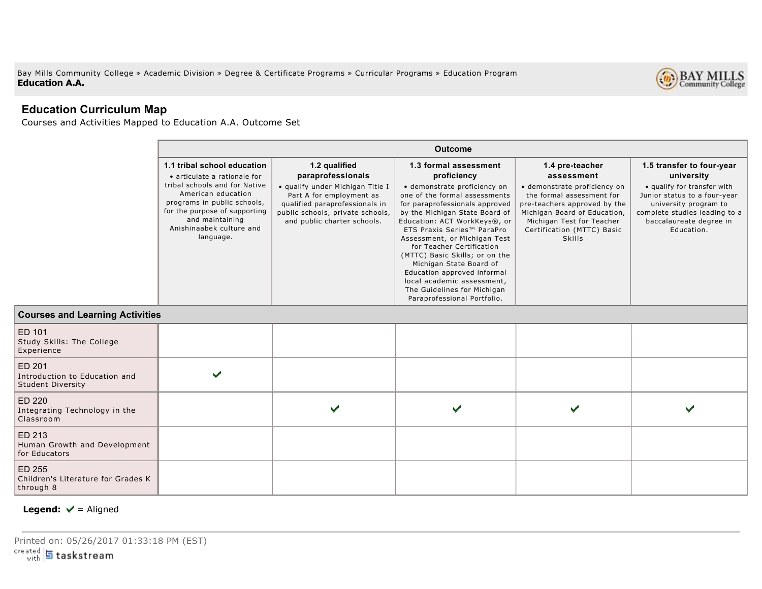Bay Mills Community College » Academic Division » Degree & Certificate Programs » Curricular Programs » Education Program **Education A.A.**



## **Education Curriculum Map**

Courses and Activities Mapped to Education A.A. Outcome Set

| <b>Outcome</b>                                                                                                                                                                  |                                                                                                                                                                   |                                                                                                                                                                                                                                                                                                                                                                                                                                                      |                                                                                                                                                                                                |                                                                                                                                                                |
|---------------------------------------------------------------------------------------------------------------------------------------------------------------------------------|-------------------------------------------------------------------------------------------------------------------------------------------------------------------|------------------------------------------------------------------------------------------------------------------------------------------------------------------------------------------------------------------------------------------------------------------------------------------------------------------------------------------------------------------------------------------------------------------------------------------------------|------------------------------------------------------------------------------------------------------------------------------------------------------------------------------------------------|----------------------------------------------------------------------------------------------------------------------------------------------------------------|
| 1.1 tribal school education<br>• articulate a rationale for                                                                                                                     | 1.2 qualified<br>paraprofessionals                                                                                                                                | 1.3 formal assessment<br>proficiency                                                                                                                                                                                                                                                                                                                                                                                                                 | 1.4 pre-teacher<br>assessment                                                                                                                                                                  | 1.5 transfer to four-year<br>university                                                                                                                        |
| tribal schools and for Native<br>American education<br>programs in public schools,<br>for the purpose of supporting<br>and maintaining<br>Anishinaabek culture and<br>language. | · qualify under Michigan Title I<br>Part A for employment as<br>qualified paraprofessionals in<br>public schools, private schools,<br>and public charter schools. | · demonstrate proficiency on<br>one of the formal assessments<br>for paraprofessionals approved<br>by the Michigan State Board of<br>Education: ACT WorkKeys®, or<br>ETS Praxis Series™ ParaPro<br>Assessment, or Michigan Test<br>for Teacher Certification<br>(MTTC) Basic Skills; or on the<br>Michigan State Board of<br>Education approved informal<br>local academic assessment,<br>The Guidelines for Michigan<br>Paraprofessional Portfolio. | · demonstrate proficiency on<br>the formal assessment for<br>pre-teachers approved by the<br>Michigan Board of Education,<br>Michigan Test for Teacher<br>Certification (MTTC) Basic<br>Skills | • qualify for transfer with<br>Junior status to a four-year<br>university program to<br>complete studies leading to a<br>baccalaureate degree in<br>Education. |

## **Courses and Learning Activities** ED 101 Study Skills: The College Experience ED 201 ✓ Introduction to Education and Student Diversity ED 220  $\checkmark$  $\checkmark$  $\checkmark$  $\overline{\phantom{a}}$ Integrating Technology in the Classroom ED 213 Human Growth and Development for Educators ED 255 Children's Literature for Grades K through 8

## **Legend:**  $\mathbf{\nabla}$  = Aligned